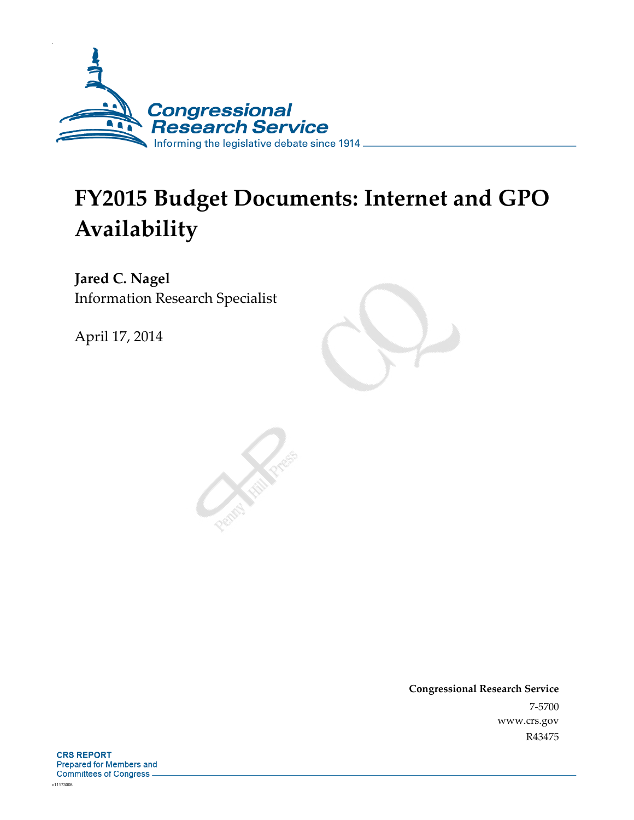

# **FY2015 Budget Documents: Internet and GPO Availability**

**Jared C. Nagel**  Information Research Specialist

April 17, 2014

**Congressional Research Service**  7-5700 www.crs.gov R43475

**CRS REPORT Prepared for Members and Committees of Congress**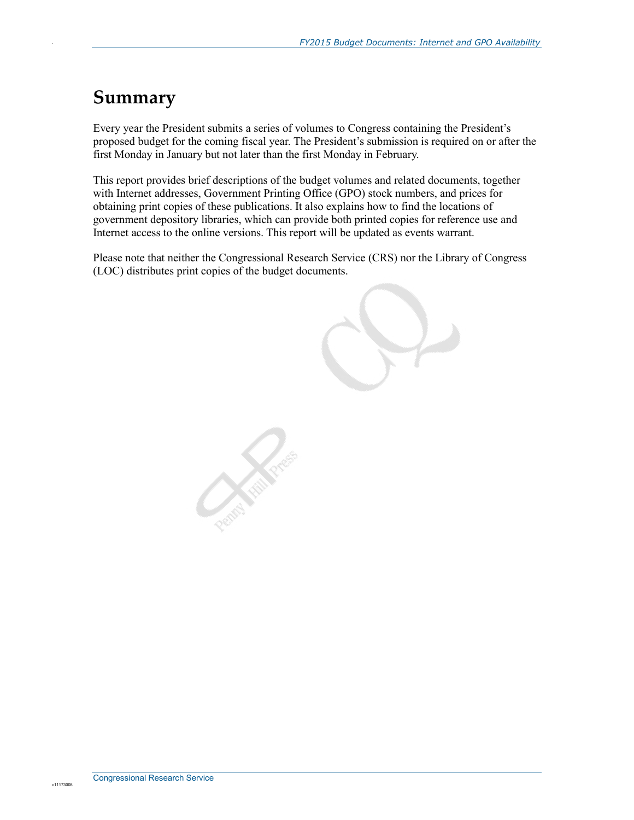### **Summary**

.

Every year the President submits a series of volumes to Congress containing the President's proposed budget for the coming fiscal year. The President's submission is required on or after the first Monday in January but not later than the first Monday in February.

This report provides brief descriptions of the budget volumes and related documents, together with Internet addresses, Government Printing Office (GPO) stock numbers, and prices for obtaining print copies of these publications. It also explains how to find the locations of government depository libraries, which can provide both printed copies for reference use and Internet access to the online versions. This report will be updated as events warrant.

Please note that neither the Congressional Research Service (CRS) nor the Library of Congress (LOC) distributes print copies of the budget documents.

**Contraction**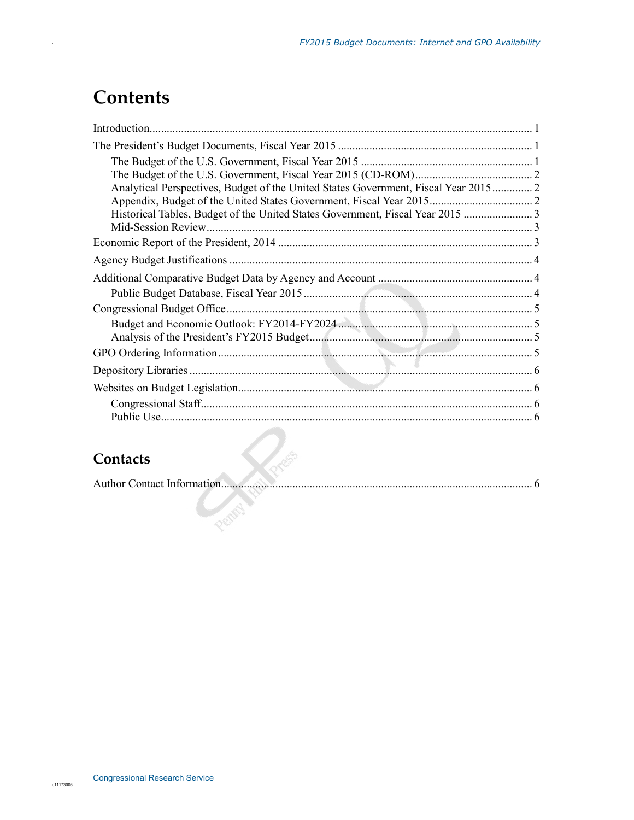# **Contents**

.

| Analytical Perspectives, Budget of the United States Government, Fiscal Year 2015 2 |  |  |
|-------------------------------------------------------------------------------------|--|--|
|                                                                                     |  |  |
| Historical Tables, Budget of the United States Government, Fiscal Year 2015         |  |  |
|                                                                                     |  |  |
|                                                                                     |  |  |
|                                                                                     |  |  |
|                                                                                     |  |  |
|                                                                                     |  |  |
|                                                                                     |  |  |
|                                                                                     |  |  |
|                                                                                     |  |  |
|                                                                                     |  |  |
| and the control of the con-                                                         |  |  |
|                                                                                     |  |  |
|                                                                                     |  |  |
|                                                                                     |  |  |

### **Contacts**

| Contacts                   |  |
|----------------------------|--|
| Author Contact Information |  |
|                            |  |
|                            |  |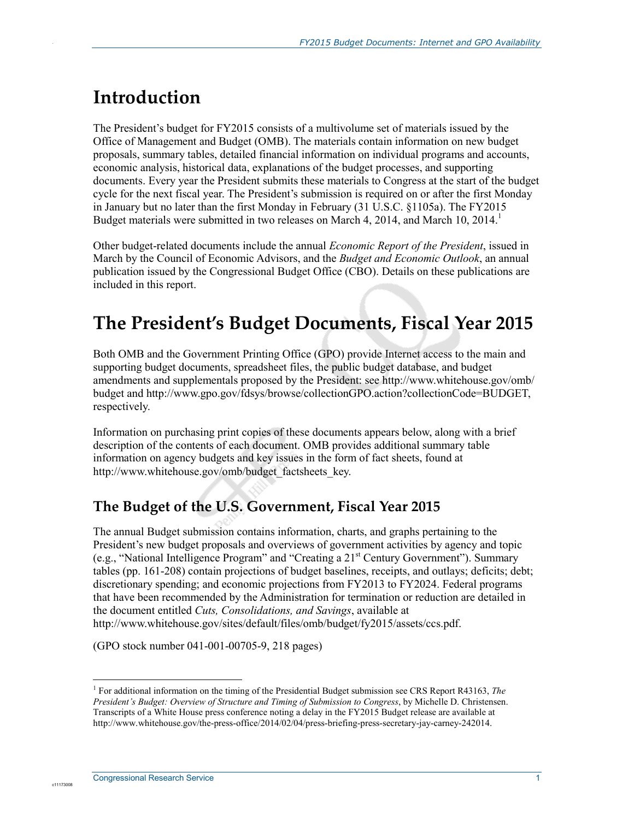# **Introduction**

.

The President's budget for FY2015 consists of a multivolume set of materials issued by the Office of Management and Budget (OMB). The materials contain information on new budget proposals, summary tables, detailed financial information on individual programs and accounts, economic analysis, historical data, explanations of the budget processes, and supporting documents. Every year the President submits these materials to Congress at the start of the budget cycle for the next fiscal year. The President's submission is required on or after the first Monday in January but no later than the first Monday in February (31 U.S.C. §1105a). The FY2015 Budget materials were submitted in two releases on March 4, 2014, and March 10, 2014.<sup>1</sup>

Other budget-related documents include the annual *Economic Report of the President*, issued in March by the Council of Economic Advisors, and the *Budget and Economic Outlook*, an annual publication issued by the Congressional Budget Office (CBO). Details on these publications are included in this report.

# **The President's Budget Documents, Fiscal Year 2015**

Both OMB and the Government Printing Office (GPO) provide Internet access to the main and supporting budget documents, spreadsheet files, the public budget database, and budget amendments and supplementals proposed by the President: see http://www.whitehouse.gov/omb/ budget and http://www.gpo.gov/fdsys/browse/collectionGPO.action?collectionCode=BUDGET, respectively.

Information on purchasing print copies of these documents appears below, along with a brief description of the contents of each document. OMB provides additional summary table information on agency budgets and key issues in the form of fact sheets, found at http://www.whitehouse.gov/omb/budget\_factsheets\_key.

#### **The Budget of the U.S. Government, Fiscal Year 2015**

The annual Budget submission contains information, charts, and graphs pertaining to the President's new budget proposals and overviews of government activities by agency and topic (e.g., "National Intelligence Program" and "Creating a 21st Century Government"). Summary tables (pp. 161-208) contain projections of budget baselines, receipts, and outlays; deficits; debt; discretionary spending; and economic projections from FY2013 to FY2024. Federal programs that have been recommended by the Administration for termination or reduction are detailed in the document entitled *Cuts, Consolidations, and Savings*, available at http://www.whitehouse.gov/sites/default/files/omb/budget/fy2015/assets/ccs.pdf.

(GPO stock number 041-001-00705-9, 218 pages)

1

<sup>1</sup> For additional information on the timing of the Presidential Budget submission see CRS Report R43163, *The President's Budget: Overview of Structure and Timing of Submission to Congress*, by Michelle D. Christensen. Transcripts of a White House press conference noting a delay in the FY2015 Budget release are available at http://www.whitehouse.gov/the-press-office/2014/02/04/press-briefing-press-secretary-jay-carney-242014.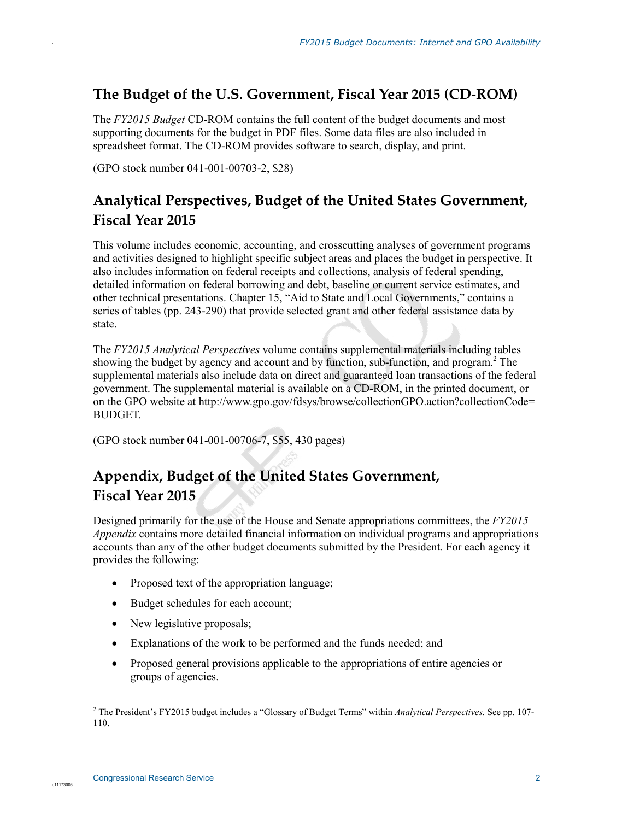#### **The Budget of the U.S. Government, Fiscal Year 2015 (CD-ROM)**

The *FY2015 Budget* CD-ROM contains the full content of the budget documents and most supporting documents for the budget in PDF files. Some data files are also included in spreadsheet format. The CD-ROM provides software to search, display, and print.

(GPO stock number 041-001-00703-2, \$28)

.

### **Analytical Perspectives, Budget of the United States Government, Fiscal Year 2015**

This volume includes economic, accounting, and crosscutting analyses of government programs and activities designed to highlight specific subject areas and places the budget in perspective. It also includes information on federal receipts and collections, analysis of federal spending, detailed information on federal borrowing and debt, baseline or current service estimates, and other technical presentations. Chapter 15, "Aid to State and Local Governments," contains a series of tables (pp. 243-290) that provide selected grant and other federal assistance data by state.

The *FY2015 Analytical Perspectives* volume contains supplemental materials including tables showing the budget by agency and account and by function, sub-function, and program.<sup>2</sup> The supplemental materials also include data on direct and guaranteed loan transactions of the federal government. The supplemental material is available on a CD-ROM, in the printed document, or on the GPO website at http://www.gpo.gov/fdsys/browse/collectionGPO.action?collectionCode= BUDGET.

(GPO stock number 041-001-00706-7, \$55, 430 pages)

#### **Appendix, Budget of the United States Government, Fiscal Year 2015**

Designed primarily for the use of the House and Senate appropriations committees, the *FY2015 Appendix* contains more detailed financial information on individual programs and appropriations accounts than any of the other budget documents submitted by the President. For each agency it provides the following:

- Proposed text of the appropriation language;
- Budget schedules for each account;
- New legislative proposals;
- Explanations of the work to be performed and the funds needed; and
- Proposed general provisions applicable to the appropriations of entire agencies or groups of agencies.

 2 The President's FY2015 budget includes a "Glossary of Budget Terms" within *Analytical Perspectives*. See pp. 107- 110.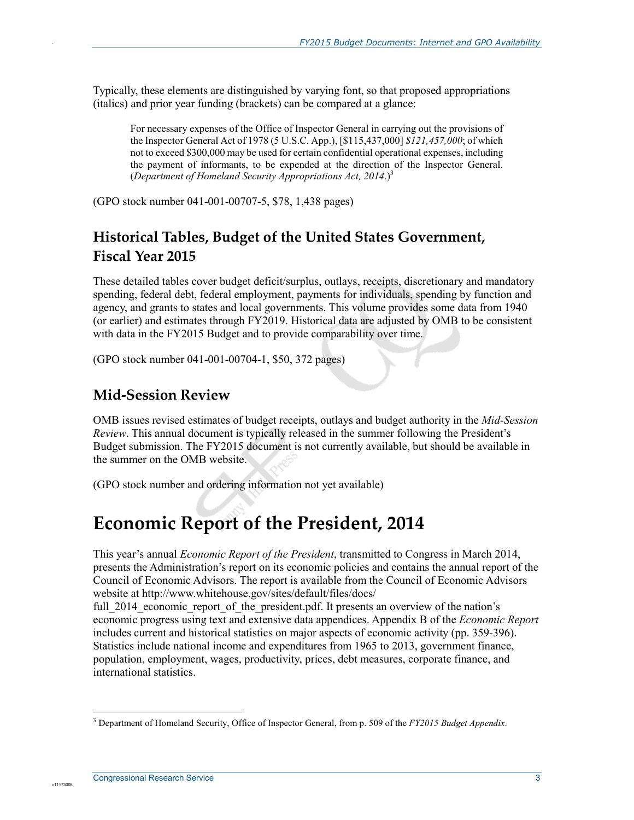Typically, these elements are distinguished by varying font, so that proposed appropriations (italics) and prior year funding (brackets) can be compared at a glance:

For necessary expenses of the Office of Inspector General in carrying out the provisions of the Inspector General Act of 1978 (5 U.S.C. App.), [\$115,437,000] *\$121,457,000*; of which not to exceed \$300,000 may be used for certain confidential operational expenses, including the payment of informants, to be expended at the direction of the Inspector General. (*Department of Homeland Security Appropriations Act, 2014*.)3

(GPO stock number 041-001-00707-5, \$78, 1,438 pages)

### **Historical Tables, Budget of the United States Government, Fiscal Year 2015**

These detailed tables cover budget deficit/surplus, outlays, receipts, discretionary and mandatory spending, federal debt, federal employment, payments for individuals, spending by function and agency, and grants to states and local governments. This volume provides some data from 1940 (or earlier) and estimates through FY2019. Historical data are adjusted by OMB to be consistent with data in the FY2015 Budget and to provide comparability over time.

(GPO stock number 041-001-00704-1, \$50, 372 pages)

#### **Mid-Session Review**

.

OMB issues revised estimates of budget receipts, outlays and budget authority in the *Mid-Session Review*. This annual document is typically released in the summer following the President's Budget submission. The FY2015 document is not currently available, but should be available in the summer on the OMB website.

(GPO stock number and ordering information not yet available)

### **Economic Report of the President, 2014**

This year's annual *Economic Report of the President*, transmitted to Congress in March 2014, presents the Administration's report on its economic policies and contains the annual report of the Council of Economic Advisors. The report is available from the Council of Economic Advisors website at http://www.whitehouse.gov/sites/default/files/docs/

full 2014 economic report of the president.pdf. It presents an overview of the nation's economic progress using text and extensive data appendices. Appendix B of the *Economic Report* includes current and historical statistics on major aspects of economic activity (pp. 359-396). Statistics include national income and expenditures from 1965 to 2013, government finance, population, employment, wages, productivity, prices, debt measures, corporate finance, and international statistics.

 3 Department of Homeland Security, Office of Inspector General, from p. 509 of the *FY2015 Budget Appendix*.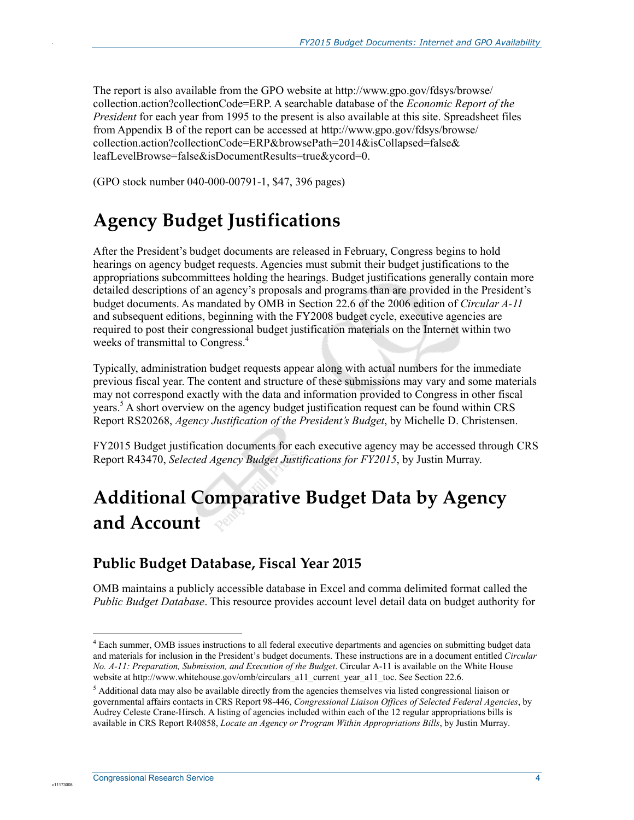The report is also available from the GPO website at http://www.gpo.gov/fdsys/browse/ collection.action?collectionCode=ERP. A searchable database of the *Economic Report of the President* for each year from 1995 to the present is also available at this site. Spreadsheet files from Appendix B of the report can be accessed at http://www.gpo.gov/fdsys/browse/ collection.action?collectionCode=ERP&browsePath=2014&isCollapsed=false& leafLevelBrowse=false&isDocumentResults=true&ycord=0.

(GPO stock number 040-000-00791-1, \$47, 396 pages)

# **Agency Budget Justifications**

After the President's budget documents are released in February, Congress begins to hold hearings on agency budget requests. Agencies must submit their budget justifications to the appropriations subcommittees holding the hearings. Budget justifications generally contain more detailed descriptions of an agency's proposals and programs than are provided in the President's budget documents. As mandated by OMB in Section 22.6 of the 2006 edition of *Circular A-11* and subsequent editions, beginning with the FY2008 budget cycle, executive agencies are required to post their congressional budget justification materials on the Internet within two weeks of transmittal to Congress.<sup>4</sup>

Typically, administration budget requests appear along with actual numbers for the immediate previous fiscal year. The content and structure of these submissions may vary and some materials may not correspond exactly with the data and information provided to Congress in other fiscal years.<sup>5</sup> A short overview on the agency budget justification request can be found within CRS Report RS20268, *Agency Justification of the President's Budget*, by Michelle D. Christensen.

FY2015 Budget justification documents for each executive agency may be accessed through CRS Report R43470, *Selected Agency Budget Justifications for FY2015*, by Justin Murray.

# **Additional Comparative Budget Data by Agency and Account**

#### **Public Budget Database, Fiscal Year 2015**

OMB maintains a publicly accessible database in Excel and comma delimited format called the *Public Budget Database*. This resource provides account level detail data on budget authority for

1

c1117300

.

<sup>&</sup>lt;sup>4</sup> Each summer, OMB issues instructions to all federal executive departments and agencies on submitting budget data and materials for inclusion in the President's budget documents. These instructions are in a document entitled *Circular No. A-11: Preparation, Submission, and Execution of the Budget*. Circular A-11 is available on the White House website at http://www.whitehouse.gov/omb/circulars\_a11\_current\_year\_a11\_toc. See Section 22.6.

<sup>&</sup>lt;sup>5</sup> Additional data may also be available directly from the agencies themselves via listed congressional liaison or governmental affairs contacts in CRS Report 98-446, *Congressional Liaison Offices of Selected Federal Agencies*, by Audrey Celeste Crane-Hirsch. A listing of agencies included within each of the 12 regular appropriations bills is available in CRS Report R40858, *Locate an Agency or Program Within Appropriations Bills*, by Justin Murray.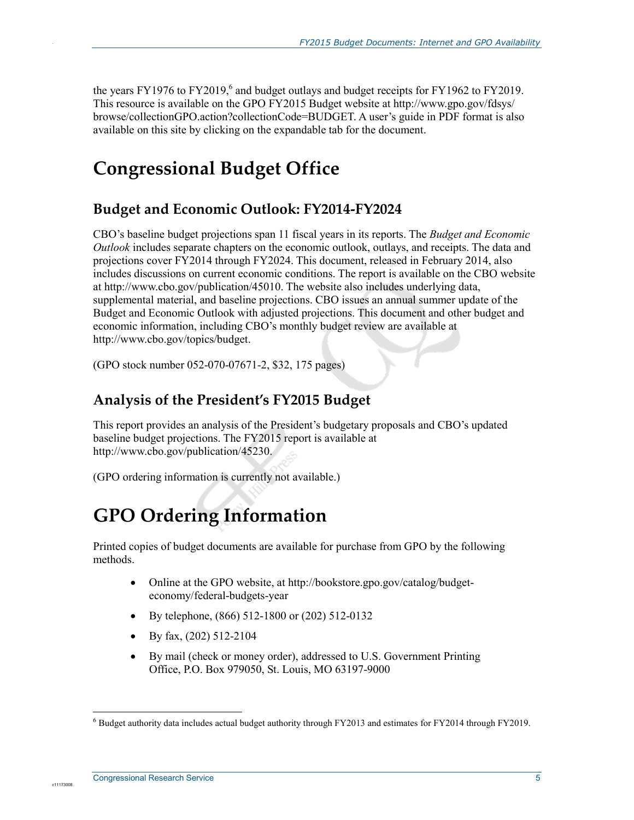the years FY1976 to FY2019, $^6$  and budget outlays and budget receipts for FY1962 to FY2019. This resource is available on the GPO FY2015 Budget website at http://www.gpo.gov/fdsys/ browse/collectionGPO.action?collectionCode=BUDGET. A user's guide in PDF format is also available on this site by clicking on the expandable tab for the document.

# **Congressional Budget Office**

#### **Budget and Economic Outlook: FY2014-FY2024**

CBO's baseline budget projections span 11 fiscal years in its reports. The *Budget and Economic Outlook* includes separate chapters on the economic outlook, outlays, and receipts. The data and projections cover FY2014 through FY2024. This document, released in February 2014, also includes discussions on current economic conditions. The report is available on the CBO website at http://www.cbo.gov/publication/45010. The website also includes underlying data, supplemental material, and baseline projections. CBO issues an annual summer update of the Budget and Economic Outlook with adjusted projections. This document and other budget and economic information, including CBO's monthly budget review are available at http://www.cbo.gov/topics/budget.

(GPO stock number 052-070-07671-2, \$32, 175 pages)

#### **Analysis of the President's FY2015 Budget**

This report provides an analysis of the President's budgetary proposals and CBO's updated baseline budget projections. The FY2015 report is available at http://www.cbo.gov/publication/45230.

(GPO ordering information is currently not available.)

# **GPO Ordering Information**

Printed copies of budget documents are available for purchase from GPO by the following methods.

- Online at the GPO website, at http://bookstore.gpo.gov/catalog/budgeteconomy/federal-budgets-year
- By telephone, (866) 512-1800 or (202) 512-0132
- By fax, (202) 512-2104
- By mail (check or money order), addressed to U.S. Government Printing Office, P.O. Box 979050, St. Louis, MO 63197-9000

<u>.</u>

c1117300

.

<sup>&</sup>lt;sup>6</sup> Budget authority data includes actual budget authority through FY2013 and estimates for FY2014 through FY2019.